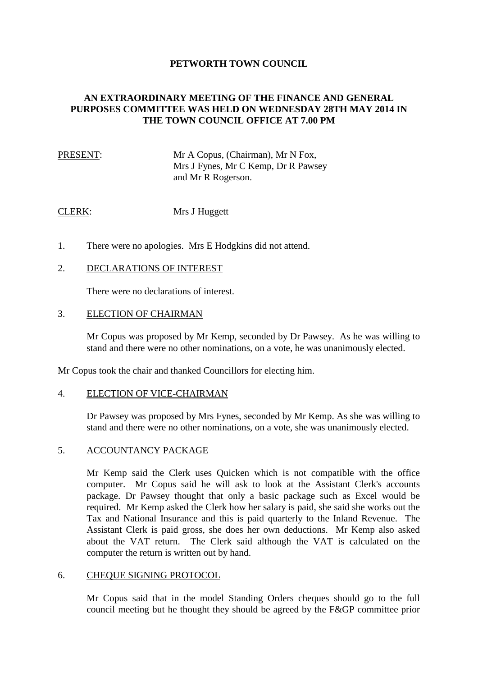# **PETWORTH TOWN COUNCIL**

# **AN EXTRAORDINARY MEETING OF THE FINANCE AND GENERAL PURPOSES COMMITTEE WAS HELD ON WEDNESDAY 28TH MAY 2014 IN THE TOWN COUNCIL OFFICE AT 7.00 PM**

# PRESENT: Mr A Copus, (Chairman), Mr N Fox, Mrs J Fynes, Mr C Kemp, Dr R Pawsey and Mr R Rogerson.

### CLERK: Mrs J Huggett

1. There were no apologies. Mrs E Hodgkins did not attend.

## 2. DECLARATIONS OF INTEREST

There were no declarations of interest.

#### 3. ELECTION OF CHAIRMAN

Mr Copus was proposed by Mr Kemp, seconded by Dr Pawsey. As he was willing to stand and there were no other nominations, on a vote, he was unanimously elected.

Mr Copus took the chair and thanked Councillors for electing him.

#### 4. ELECTION OF VICE-CHAIRMAN

Dr Pawsey was proposed by Mrs Fynes, seconded by Mr Kemp. As she was willing to stand and there were no other nominations, on a vote, she was unanimously elected.

#### 5. ACCOUNTANCY PACKAGE

Mr Kemp said the Clerk uses Quicken which is not compatible with the office computer. Mr Copus said he will ask to look at the Assistant Clerk's accounts package. Dr Pawsey thought that only a basic package such as Excel would be required. Mr Kemp asked the Clerk how her salary is paid, she said she works out the Tax and National Insurance and this is paid quarterly to the Inland Revenue. The Assistant Clerk is paid gross, she does her own deductions. Mr Kemp also asked about the VAT return. The Clerk said although the VAT is calculated on the computer the return is written out by hand.

#### 6. CHEQUE SIGNING PROTOCOL

Mr Copus said that in the model Standing Orders cheques should go to the full council meeting but he thought they should be agreed by the F&GP committee prior